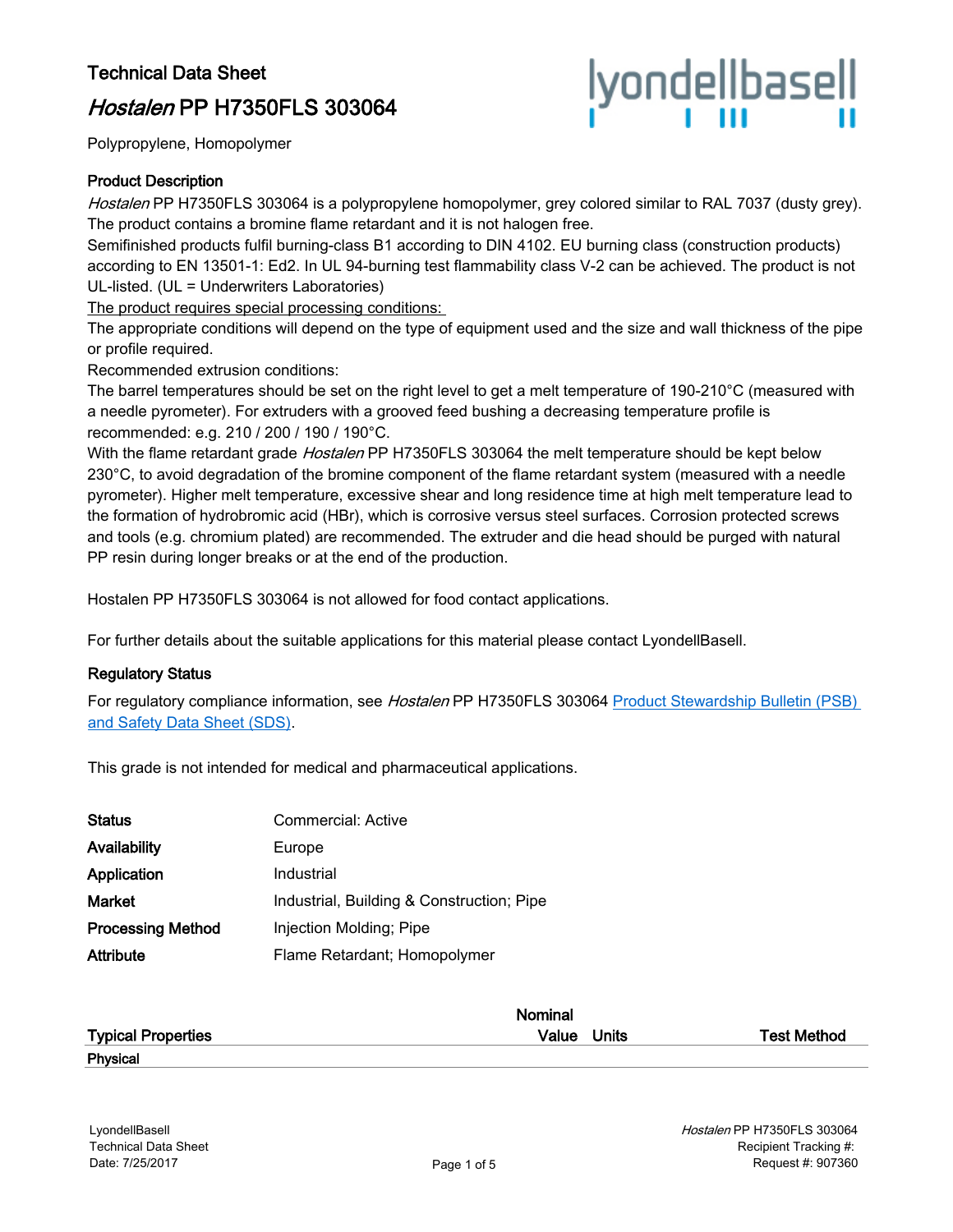# Technical Data Sheet

# Hostalen PP H7350FLS 303064



Polypropylene, Homopolymer

## Product Description

Hostalen PP H7350FLS 303064 is a polypropylene homopolymer, grey colored similar to RAL 7037 (dusty grey). The product contains a bromine flame retardant and it is not halogen free.

Semifinished products fulfil burning-class B1 according to DIN 4102. EU burning class (construction products) according to EN 13501-1: Ed2. In UL 94-burning test flammability class V-2 can be achieved. The product is not UL-listed. (UL = Underwriters Laboratories)

The product requires special processing conditions:

The appropriate conditions will depend on the type of equipment used and the size and wall thickness of the pipe or profile required.

Recommended extrusion conditions:

The barrel temperatures should be set on the right level to get a melt temperature of 190-210°C (measured with a needle pyrometer). For extruders with a grooved feed bushing a decreasing temperature profile is recommended: e.g. 210 / 200 / 190 / 190°C.

With the flame retardant grade Hostalen PP H7350FLS 303064 the melt temperature should be kept below 230°C, to avoid degradation of the bromine component of the flame retardant system (measured with a needle pyrometer). Higher melt temperature, excessive shear and long residence time at high melt temperature lead to the formation of hydrobromic acid (HBr), which is corrosive versus steel surfaces. Corrosion protected screws and tools (e.g. chromium plated) are recommended. The extruder and die head should be purged with natural PP resin during longer breaks or at the end of the production.

Hostalen PP H7350FLS 303064 is not allowed for food contact applications.

For further details about the suitable applications for this material please contact LyondellBasell.

#### Regulatory Status

For regulatory compliance information, see Hostalen PP H7350FLS 303064 Product Stewardship Bulletin (PSB) [and Safety Data Sheet \(SDS\)](https://productsafety.lyondellbasell.com/ByProductID/aec90a6d-6802-4f42-9fe8-b21c183cb617).

This grade is not intended for medical and pharmaceutical applications.

| <b>Status</b>            | Commercial: Active                        |
|--------------------------|-------------------------------------------|
| Availability             | Europe                                    |
| Application              | Industrial                                |
| Market                   | Industrial, Building & Construction; Pipe |
| <b>Processing Method</b> | Injection Molding; Pipe                   |
| Attribute                | Flame Retardant; Homopolymer              |

|                           | Nominal     |                    |
|---------------------------|-------------|--------------------|
| <b>Typical Properties</b> | Value Units | <b>Test Method</b> |
| Physical                  |             |                    |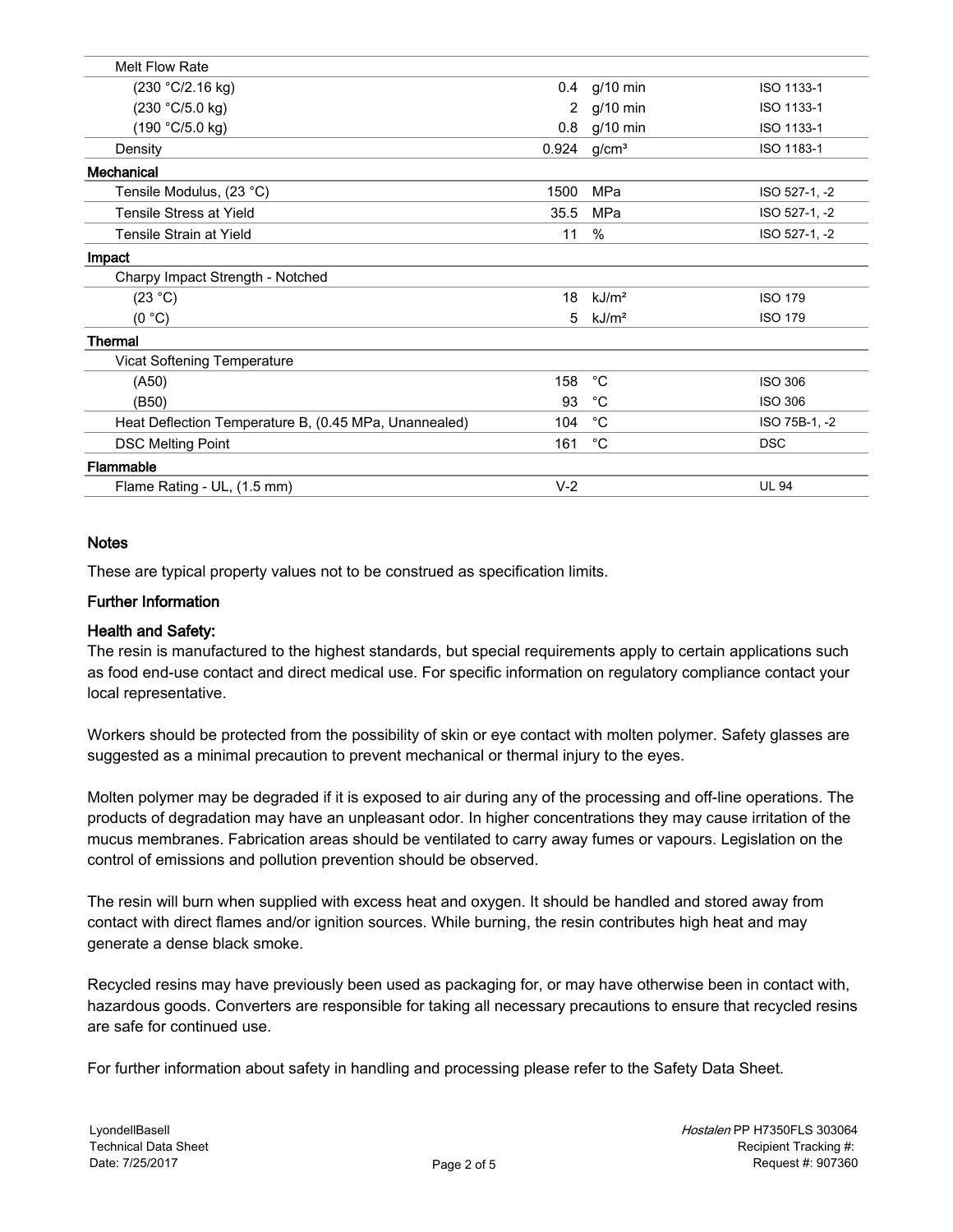| <b>Melt Flow Rate</b>                                 |                |                   |                |
|-------------------------------------------------------|----------------|-------------------|----------------|
| (230 °C/2.16 kg)                                      | 0.4            | $g/10$ min        | ISO 1133-1     |
| (230 °C/5.0 kg)                                       | $\overline{2}$ | $g/10$ min        | ISO 1133-1     |
| (190 °C/5.0 kg)                                       | 0.8            | $g/10$ min        | ISO 1133-1     |
| Density                                               | 0.924          | g/cm <sup>3</sup> | ISO 1183-1     |
| Mechanical                                            |                |                   |                |
| Tensile Modulus, (23 °C)                              | 1500           | MPa               | ISO 527-1, -2  |
| <b>Tensile Stress at Yield</b>                        | 35.5           | MPa               | ISO 527-1, -2  |
| Tensile Strain at Yield                               | 11             | %                 | ISO 527-1, -2  |
| Impact                                                |                |                   |                |
| Charpy Impact Strength - Notched                      |                |                   |                |
| (23 °C)                                               | 18             | kJ/m <sup>2</sup> | <b>ISO 179</b> |
| (0 °C)                                                | 5              | kJ/m <sup>2</sup> | <b>ISO 179</b> |
| Thermal                                               |                |                   |                |
| Vicat Softening Temperature                           |                |                   |                |
| ( A50 )                                               | 158            | $^{\circ}C$       | <b>ISO 306</b> |
| (B50)                                                 | 93             | °C                | <b>ISO 306</b> |
| Heat Deflection Temperature B, (0.45 MPa, Unannealed) | 104            | $^{\circ}C$       | ISO 75B-1, -2  |
| <b>DSC Melting Point</b>                              | 161            | $^{\circ}$ C      | <b>DSC</b>     |
| Flammable                                             |                |                   |                |
| Flame Rating - UL, (1.5 mm)                           | $V-2$          |                   | <b>UL 94</b>   |
|                                                       |                |                   |                |

# **Notes**

These are typical property values not to be construed as specification limits.

# Further Information

#### Health and Safety:

The resin is manufactured to the highest standards, but special requirements apply to certain applications such as food end-use contact and direct medical use. For specific information on regulatory compliance contact your local representative.

Workers should be protected from the possibility of skin or eye contact with molten polymer. Safety glasses are suggested as a minimal precaution to prevent mechanical or thermal injury to the eyes.

Molten polymer may be degraded if it is exposed to air during any of the processing and off-line operations. The products of degradation may have an unpleasant odor. In higher concentrations they may cause irritation of the mucus membranes. Fabrication areas should be ventilated to carry away fumes or vapours. Legislation on the control of emissions and pollution prevention should be observed.

The resin will burn when supplied with excess heat and oxygen. It should be handled and stored away from contact with direct flames and/or ignition sources. While burning, the resin contributes high heat and may generate a dense black smoke.

Recycled resins may have previously been used as packaging for, or may have otherwise been in contact with, hazardous goods. Converters are responsible for taking all necessary precautions to ensure that recycled resins are safe for continued use.

For further information about safety in handling and processing please refer to the Safety Data Sheet.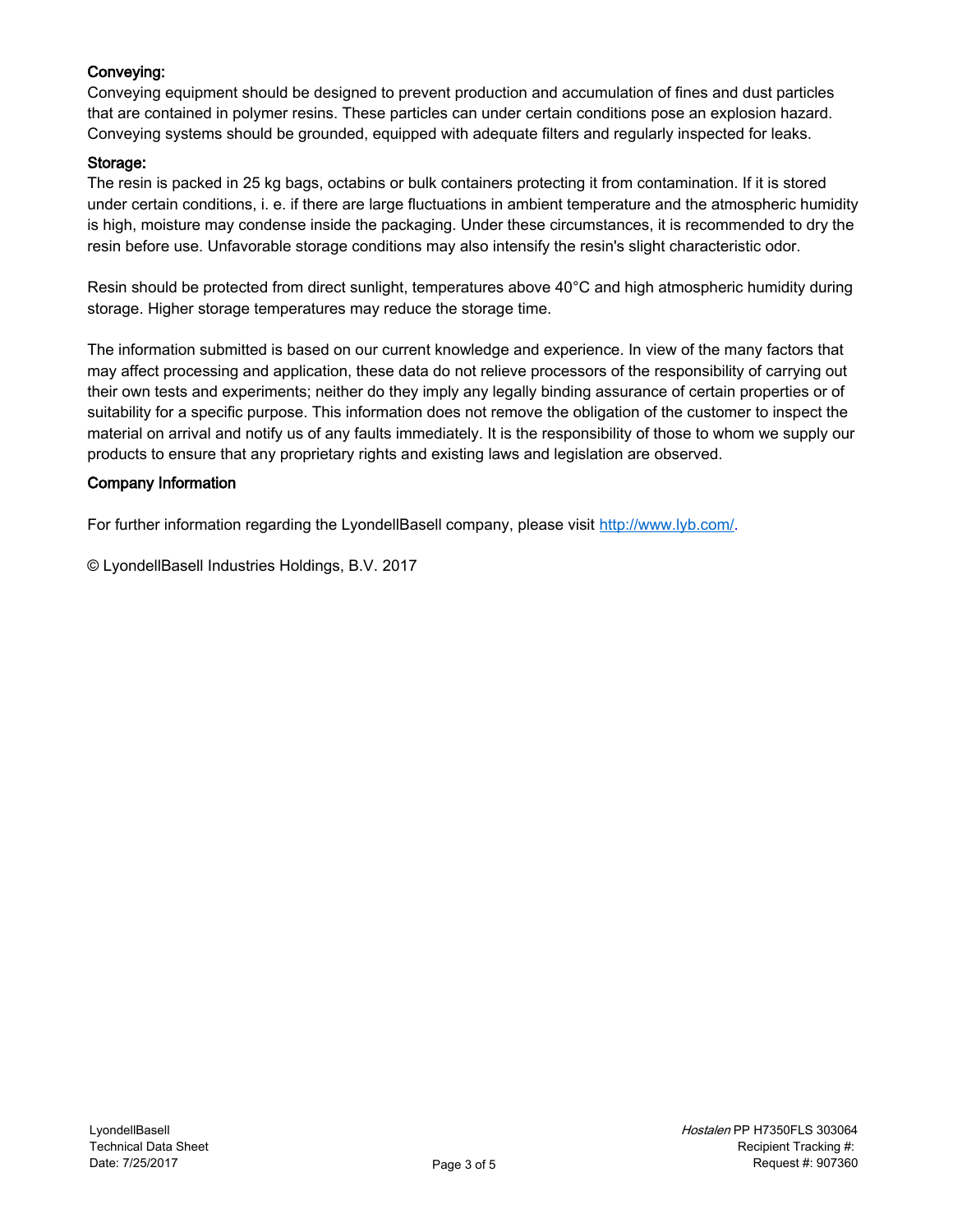# Conveying:

Conveying equipment should be designed to prevent production and accumulation of fines and dust particles that are contained in polymer resins. These particles can under certain conditions pose an explosion hazard. Conveying systems should be grounded, equipped with adequate filters and regularly inspected for leaks.

# Storage:

The resin is packed in 25 kg bags, octabins or bulk containers protecting it from contamination. If it is stored under certain conditions, i. e. if there are large fluctuations in ambient temperature and the atmospheric humidity is high, moisture may condense inside the packaging. Under these circumstances, it is recommended to dry the resin before use. Unfavorable storage conditions may also intensify the resin's slight characteristic odor.

Resin should be protected from direct sunlight, temperatures above 40°C and high atmospheric humidity during storage. Higher storage temperatures may reduce the storage time.

The information submitted is based on our current knowledge and experience. In view of the many factors that may affect processing and application, these data do not relieve processors of the responsibility of carrying out their own tests and experiments; neither do they imply any legally binding assurance of certain properties or of suitability for a specific purpose. This information does not remove the obligation of the customer to inspect the material on arrival and notify us of any faults immediately. It is the responsibility of those to whom we supply our products to ensure that any proprietary rights and existing laws and legislation are observed.

# Company Information

For further information regarding the LyondellBasell company, please visit [http://www.lyb.com/.](http://www.lyb.com/)

© LyondellBasell Industries Holdings, B.V. 2017